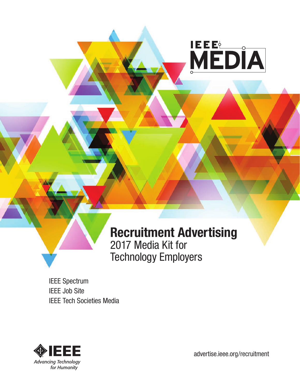

# **Recruitment Advertising**  2017 Media Kit for Technology Employers

IEEE Spectrum IEEE Job Site IEEE Tech Societies Media



[advertise.ieee.org/recruitment](http://advertise.ieee.org/recruitment-advertising/)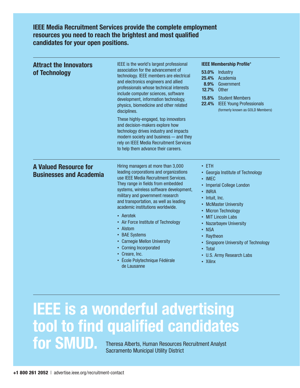**IEEE Media Recruitment Services provide the complete employment resources you need to reach the brightest and most qualified candidates for your open positions.**

| <b>Attract the Innovators</b><br>of Technology                 | IEEE is the world's largest professional<br>association for the advancement of<br>technology. IEEE members are electrical<br>and electronics engineers and allied<br>professionals whose technical interests<br>include computer sciences, software<br>development, information technology,<br>physics, biomedicine and other related<br>disciplines.                                                                                                                                                                                    | <b>IEEE Membership Profile*</b><br>53.0%<br><b>Industry</b><br>25.4%<br>Academia<br>8.9%<br>Government<br>12.7%<br><b>Other</b><br><b>Student Members</b><br>15.8%<br>22.4%<br><b>IEEE Young Professionals</b><br>(formerly known as GOLD Members)                                                                                             |
|----------------------------------------------------------------|------------------------------------------------------------------------------------------------------------------------------------------------------------------------------------------------------------------------------------------------------------------------------------------------------------------------------------------------------------------------------------------------------------------------------------------------------------------------------------------------------------------------------------------|------------------------------------------------------------------------------------------------------------------------------------------------------------------------------------------------------------------------------------------------------------------------------------------------------------------------------------------------|
|                                                                | These highly-engaged, top innovators<br>and decision-makers explore how<br>technology drives industry and impacts<br>modern society and business - and they<br>rely on IEEE Media Recruitment Services<br>to help them advance their careers.                                                                                                                                                                                                                                                                                            |                                                                                                                                                                                                                                                                                                                                                |
| <b>A Valued Resource for</b><br><b>Businesses and Academia</b> | Hiring managers at more than 3,000<br>leading corporations and organizations<br>use IEEE Media Recruitment Services.<br>They range in fields from embedded<br>systems, wireless software development,<br>military and government research<br>and transportation, as well as leading<br>academic institutions worldwide.<br>• Aerotek<br>• Air Force Institute of Technology<br>• Alstom<br>• BAE Systems<br>• Carnegie Mellon University<br>• Corning Incorporated<br>• Creare, Inc.<br>École Polytechnique Fédérale<br>٠<br>de Lausanne | $\cdot$ ETH<br>• Georgia Institute of Technology<br>$\cdot$ IMEC<br>• Imperial College London<br>• INRIA<br>• Intuit, Inc.<br>• McMaster University<br>• Micron Technology<br>• MIT Lincoln Labs<br>• Nazarbayev University<br>• NSA<br>• Raytheon<br>• Singapore University of Technology<br>• Total<br>• U.S. Army Research Labs<br>• Xilinx |

# **IEEE is a wonderful advertising tool to find qualified candidates for SMUD.** Theresa Alberts, Human Resources Recruitment Analyst

Sacramento Municipal Utility District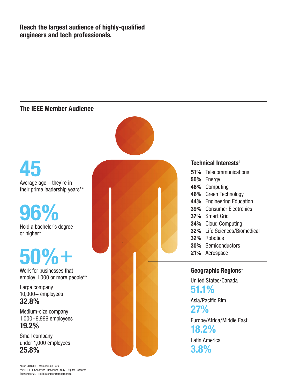**Reach the largest audience of highly-qualified engineers and tech professionals.**

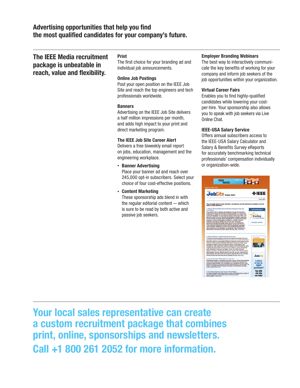# **Advertising opportunities that help you find the most qualified candidates for your company's future.**

# **The IEEE Media recruitment package is unbeatable in reach, value and flexibility.**

#### **Print**

The first choice for your branding ad and individual job announcements.

#### **Online Job Postings**

Post your open position on the IEEE Job Site and reach the top engineers and tech professionals worldwide.

#### **Banners**

Advertising on the IEEE Job Site delivers a half million impressions per month, and adds high impact to your print and direct marketing program.

#### **The IEEE Job Site Career Alert**

Delivers a free biweekly email report on jobs, education, management and the engineering workplace.

- **Banner Advertising** Place your banner ad and reach over 245,000 opt-in subscribers. Select your choice of four cost-effective positions.
- **Content Marketing** These sponsorship ads blend in with the regular editorial content — which is sure to be read by both active and passive job seekers.

#### **Employer Branding Webinars**

The best way to interactively communicate the key benefits of working for your company and inform job seekers of the job opportunities within your organization.

#### **Virtual Career Fairs**

Enables you to find highly-qualified candidates while lowering your costper-hire. Your sponsorship also allows you to speak with job seekers via Live Online Chat.

#### **IEEE-USA Salary Service**

Offers annual subscribers access to the IEEE-USA Salary Calculator and Salary & Benefits Survey eReports for accurately benchmarking technical professionals' compensation individually or organization-wide.



**Your local sales representative can create a custom recruitment package that combines print, online, sponsorships and newsletters. Call +1 800 261 2052 for more information.**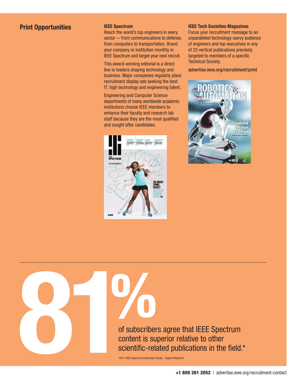# **Print Opportunities IEEE Spectrum**

Reach the world's top engineers in every sector — from communications to defense, from computers to transportation. Brand your company or institution monthly in IEEE Spectrum and target your next recruit.

This award-winning editorial is a direct line to leaders shaping technology and business. Major companies regularly place recruitment display ads seeking the best IT, high technology and engineering talent.

Engineering and Computer Science departments of many worldwide academic institutions choose IEEE members to enhance their faculty and research lab staff because they are the most qualified and sought after candidates.



#### **IEEE Tech Societies Magazines**

Focus your recruitment message to an unparalleled technology-savvy audience of engineers and top executives in any of 25 vertical publications precisely targeted to members of a specific Technical Society.

[advertise.ieee.org/recruitment/print](advertise.ieee.org/tech-societies-print)



\*2011 IEEE Spectrum Subscriber Study – Signet Research of subscribers agree that IEEE Spectrum content is superior relative to other scientific-related publications in the field.\*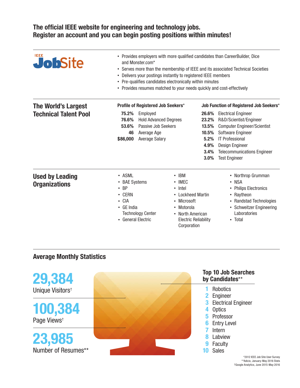# **The official IEEE website for engineering and technology jobs. Register an account and you can begin posting positions within minutes!**

| JobSite                                                    | • Provides employers with more qualified candidates than CareerBuilder, Dice<br>and Monster.com*<br>• Serves more than the membership of IEEE and its associated Technical Societies<br>Delivers your postings instantly to registered IEEE members<br>$\bullet$<br>Pre-qualifies candidates electronically within minutes<br>٠<br>• Provides resumes matched to your needs quickly and cost-effectively |                                                                                                                                               |                                                                                                                             |                                                         |                                                                                                                                                                                                                                                                      |
|------------------------------------------------------------|----------------------------------------------------------------------------------------------------------------------------------------------------------------------------------------------------------------------------------------------------------------------------------------------------------------------------------------------------------------------------------------------------------|-----------------------------------------------------------------------------------------------------------------------------------------------|-----------------------------------------------------------------------------------------------------------------------------|---------------------------------------------------------|----------------------------------------------------------------------------------------------------------------------------------------------------------------------------------------------------------------------------------------------------------------------|
| <b>The World's Largest</b><br><b>Technical Talent Pool</b> | 75.2%<br>76.6%<br>53.6%<br>46<br>\$86,000                                                                                                                                                                                                                                                                                                                                                                | Profile of Registered Job Seekers*<br>Employed<br><b>Hold Advanced Degrees</b><br>Passive Job Seekers<br>Average Age<br><b>Average Salary</b> |                                                                                                                             | 23.2%<br>13.5%<br>10.5%<br>5.2%<br>4.9%<br>3.4%<br>3.0% | Job Function of Registered Job Seekers*<br>26.6% Electrical Engineer<br>R&D/Scientist/Engineer<br><b>Computer Engineer/Scientist</b><br>Software Engineer<br><b>IT Professional</b><br>Design Engineer<br><b>Telecommunications Engineer</b><br><b>Test Engineer</b> |
| <b>Used by Leading</b><br>Organizations                    | • ASML<br><b>BAE Systems</b><br>$\bullet$<br><b>BP</b><br>$\cdot$ CERN<br>$\cdot$ CIA<br>• GE India<br>• General Electric                                                                                                                                                                                                                                                                                | <b>Technology Center</b>                                                                                                                      | $\cdot$ IBM<br>• IMEC<br>$\cdot$ Intel<br>• Lockheed Martin<br>• Microsoft<br>• Motorola<br>• North American<br>Corporation | <b>Electric Reliability</b>                             | Northrop Grumman<br>$\bullet$<br><b>NSA</b><br>$\bullet$<br><b>Philips Electronics</b><br>• Raytheon<br>• Randstad Technologies<br>• Schweitzer Engineering<br>Laboratories<br>• Total                                                                               |

# **Average Monthly Statistics**



\*\*Adicio, January-May 2016 Stats †Google Analytics, June 2015-May 2016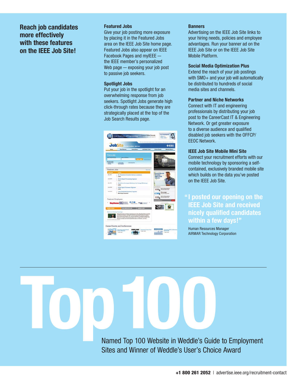# **Reach job candidates more effectively with these features on the IEEE Job Site!**

#### **Featured Jobs**

Give your job posting more exposure by placing it in the Featured Jobs area on the IEEE Job Site home page. Featured Jobs also appear on IEEE Facebook Pages and myIEEE the IEEE member's personalized Web page — exposing your job post to passive job seekers.

#### **Spotlight Jobs**

Put your job in the spotlight for an overwhelming response from job seekers. Spotlight Jobs generate high click-through rates because they are strategically placed at the top of the Job Search Results page.

| Home                 | <b>Paul Resume</b><br><b>Cartest News</b>                                                                                                                                                                                                                                                                                                                                                                                                                                                                         | Job Senker Texts             | <b>Carter Events</b><br><b>Member Sign In</b>    |
|----------------------|-------------------------------------------------------------------------------------------------------------------------------------------------------------------------------------------------------------------------------------------------------------------------------------------------------------------------------------------------------------------------------------------------------------------------------------------------------------------------------------------------------------------|------------------------------|--------------------------------------------------|
| First a Job          |                                                                                                                                                                                                                                                                                                                                                                                                                                                                                                                   | <b>FIRST STATE CARDINALS</b> |                                                  |
|                      | / All Categories<br><b>Technol</b><br><b>By Email</b>                                                                                                                                                                                                                                                                                                                                                                                                                                                             |                              |                                                  |
| Featured Jobs        |                                                                                                                                                                                                                                                                                                                                                                                                                                                                                                                   | <b>Make Ave</b>              |                                                  |
| د ب                  |                                                                                                                                                                                                                                                                                                                                                                                                                                                                                                                   |                              | <b>CLICK BELOW</b>                               |
| <b>Blvd</b> 2013     | <b>Sr. Protection &amp; Control (Various Locations)</b><br>Looks.                                                                                                                                                                                                                                                                                                                                                                                                                                                 |                              | <b>TO VIEW</b><br><b>EMPLOYER</b>                |
| Area Britt           | Banke Signal Processing Engineer<br><b>Latitude</b>                                                                                                                                                                                                                                                                                                                                                                                                                                                               |                              | <b>VIDEOS</b><br>r.                              |
| <b>Big (F1)</b>      | Salesforce Developer (Suffware, for Energy Efficiency).<br>Lotting                                                                                                                                                                                                                                                                                                                                                                                                                                                |                              |                                                  |
| Area Drive           | FPGA Signal Processor Engineer<br>Lothe                                                                                                                                                                                                                                                                                                                                                                                                                                                                           |                              | <b>Harris Corporation</b><br>$-100$              |
| <b>Alexa</b> Service | <b>Lead Enterthed Systems Engineer</b><br><b>Wells Division Corporation</b>                                                                                                                                                                                                                                                                                                                                                                                                                                       |                              | <b>Circuit Lingie</b><br><b>Secure Concess</b>   |
| <b>ANSIN VENUS</b>   | Featured Employers<br>47 CM<br><b>Haytheon SEL</b>                                                                                                                                                                                                                                                                                                                                                                                                                                                                |                              | <b>Harris Corporation</b><br>Lisal Galages Polis |
|                      | <b>Rusnes en Ciencro y Termelogio</b><br>Delinguista mujeres periodicas e nigeriares como e Dia, Rosal Maria Britain (encimale)<br>p plomin an in Clevela y Two capit on Punama), ing Alunyak Panuhas da Historial<br>arrus Mrezes as Educación). Dos Carronwe Electation Universitycisme presions de<br>foreign die for furnitures (\$45 & Markeda Gallery, parts in 7. Pagerne Herman die SEET y 1992)<br>Farante too misier aux haractes institutions adole au holivantic, aux holes in<br>Ankalos de purpones |                              |                                                  |

#### **Banners**

Advertising on the IEEE Job Site links to your hiring needs, policies and employee advantages. Run your banner ad on the IEEE Job Site or on the IEEE Job Site Mobile Platform.

#### **Social Media Optimization Plus**

Extend the reach of your job postings with SMO+ and your job will automatically be distributed to hundreds of social media sites and channels.

#### **Partner and Niche Networks**

Connect with IT and engineering professionals by distributing your job post to the CareerCast IT & Engineering Network. Or get greater exposure to a diverse audience and qualified disabled job seekers with the OFFCP/ EEOC Network.

#### **IEEE Job Site Mobile Mini Site**

Connect your recruitment efforts with our mobile technology by sponsoring a selfcontained, exclusively branded mobile site which builds on the data you've posted on the IEEE Job Site.

# **I posted our opening on the "IEEE Job Site and received nicely qualified candidates within a few days!"**

Human Resources Manager AIRMAR Technology Corporation

Named Top 100 Website in Weddle's Guide to Employment Sites and Winner of Weddle's User's Choice Award

**Top100**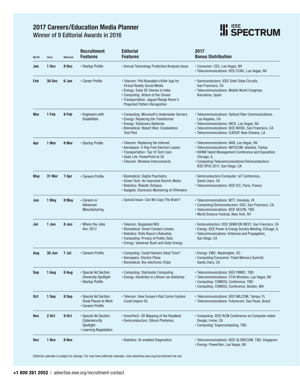# **2017 Careers/Education Media Planner**



Winner of 9 Editorial Awards in 2016

| <b>Month</b> | Close  | <b>Materials</b> | <b>Recruitment</b><br><b>Features</b>                                         | <b>Editorial</b><br><b>Features</b>                                                                                                                                                                                                   | 2017<br><b>Bonus Distribution</b>                                                                                                                                                                                                                    |
|--------------|--------|------------------|-------------------------------------------------------------------------------|---------------------------------------------------------------------------------------------------------------------------------------------------------------------------------------------------------------------------------------|------------------------------------------------------------------------------------------------------------------------------------------------------------------------------------------------------------------------------------------------------|
| Jan          | 1 Dec  | 8 Dec            | • Startup Profile                                                             | • Annual Technology Prediction/Analysis Issue                                                                                                                                                                                         | • Consumer: CES, Las Vegas, NV<br>• Telecommunications: IEEE CCNC, Las Vegas, NV                                                                                                                                                                     |
| Feb          | 30 Dec | 6 Jan            | • Career Profile                                                              | • Telecom: Phil Rosedale's Killer App for<br>Virtual Reality Social Media<br>• Energy: Solar DC Homes in India<br>• Computing: Attack of the Clones<br>• Transportation: Jaguar/Range Rover's<br><b>Projected Pattern Recognition</b> | • Semiconductors: IEEE Solid State Circuits,<br>San Francisco, CA<br>• Telecommunications: Mobile World Congress,<br>Barcelona, Spain                                                                                                                |
| Mar          | 1 Feb  | 8 Feb            | • Engineers with<br><b>Disabilities</b>                                       | • Computing: Microsoft's Underwater Servers<br>• Energy: Replacing the Transformer<br>• Energy: Stationary Batteries<br>· Biomedical: Robert Woo: Exoskeleton<br><b>Test Pilot</b>                                                    | • Telecommunications: Optical Fiber Communications,<br>Los Angeles, CA<br>• Telecommunications: IWCE, Las Vegas, NV<br>· Telecommunications: IEEE WCNC, San Francisco, CA<br>• Telecommunications: ICASSP, New Orleans, LA                           |
| Apr          | 1 Mar  | 8 Mar            | • Startup Profile                                                             | • Telecom: Replacing the Internet<br>• Aerospace: X-Ray Free Electron Lasers<br>• Transportation: Top 10 Tech Cars<br>• Geek Life: PowerPoint at 30<br>• Telecom: Wireless Interconnects                                              | · Telecommunications: NAB, Las Vegas, NV<br>• Telecommunications: INFOCOM, Istanbul, Turkey<br>• SHRM Talent Management Conference and Exposition,<br>Chicago, IL<br>• Computing/Telecommunications/Semiconductors:<br>IEEE RFID 2017, San Diego, CA |
| May          | 31 Mar | 7 Apr            | • Careers Profile                                                             | • Biomedical: Digital Psychiatry<br>• Green Tech: An improved Electric Motor<br>• Robotics: Robotic Octopus<br>• Gadgets: Electronic Monitoring of Offenders                                                                          | • Semiconductors/Computer: IoT Conference,<br>Santa Clara, CA<br>• Telecommunications: IEEE ICC, Paris, France                                                                                                                                       |
| Jun          | 1 May  | 8 May            | • Careers in<br>Advanced<br>Manufacturing                                     | • Special Issue: Can We Copy The Brain?                                                                                                                                                                                               | • Telecommunications: MTT, Honolulu, HI<br>• Computing/Semiconductors: DAC, San Francisco, CA<br>• Telecommunications: IEEE SECON, TBD<br>• World Science Festival, New York, NY                                                                     |
| Jul          | 1 Jun  | 8 Jun            | • Where the Jobs<br>Are: 2017                                                 | · Telecom: Skyjacked Wifi<br>• Biomedical: Smart Contact Lenses<br>• Robotics: Rolls Royce's Roboship<br>• Computing: Privacy of Public Data<br>• Energy: Vannevar Bush and Solar Energy                                              | · Semiconductors: IEEE SEMICON WEST, San Francisco, CA<br>• Energy: IEEE Power & Energy Society Meeting, Chicago, IL<br>• Telecommunications: Antennas and Propagation,<br>San Diego, CA                                                             |
| Aug          | 30 Jun | 7 Jul            | • Careers Profile                                                             | • Computing: Could Hackers Steal Time?<br>• Aerospace: Electric Plane<br>• Biomedical: Bio-electronic Chips                                                                                                                           | • Energy: EMC, Washington, DC<br>• Computing/Consumer: Flash Memory Summit,<br>Santa Clara, CA                                                                                                                                                       |
| Sep          | 1 Aug  | 8 Aug            | • Special Ad Section:<br><b>University Spotlight</b><br>• Startup Profile     | • Computing: Stochastic Computing<br>• Energy: Dendrites in Lithium-ion Batteries                                                                                                                                                     | • Telecommunications: IEEE PIMRC, TBD<br>• Telecommunications: CTIA Wireless, Las Vegas, NV<br>• Computing: COMSOL Conference, TBD<br>• Computing: COMSOL Conference, Boston, MA                                                                     |
| 0ct          | 1 Sep  | 8 Sep            | • Special Ad Section:<br><b>Great Places to Work</b><br>• Careers Profile     | • Telecom: How Europe's Rail Comm System<br>Could Inspire 5G                                                                                                                                                                          | • Telecommunications: IEEE MILCOM, Tampa, FL<br>• Telecommunications: Futurecom, Sao Paulo, Brazil                                                                                                                                                   |
| Nov          | 2 Oct  | <b>9 Oct</b>     | · Special Ad Section:<br>Cybersecurity<br>Spotlight<br>• Learning Negotiation | • GreenTech: 3D Mapping of the Roadbed<br>• Semiconductors: Silicon Photonics                                                                                                                                                         | • Computing: IEEE/ACM Conference on Computer-aided<br>Design, Irvine, CA<br>• Computing: Supercomputing, TBD                                                                                                                                         |
| Dec          | 1 Nov  | 8 Nov            |                                                                               | • Robotics: Al-enabled Diagnostics                                                                                                                                                                                                    | • Telecommunications: IEEE GLOBECOM, TBD, Singapore<br>• Energy: PowerGen, Las Vegas, NV                                                                                                                                                             |

Editorial calendar is subject to change. For real-time editorial calendar, visit [advertise.ieee.org/recruitment-ed-cal](http://advertise.ieee.org/wp-content/uploads/2016-IEEE-Spectrum-Recruitment-Editorial-Calendar-LR.pdf).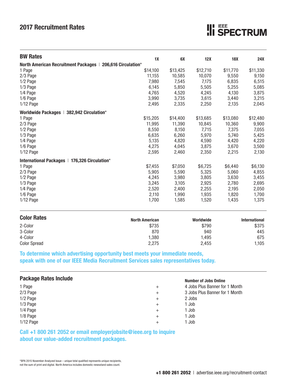# **2017 Recruitment Rates**

| <b>BW Rates</b>                                            | 1X                    | 6X       | 12X       | <b>18X</b> | <b>24X</b>           |  |  |  |  |
|------------------------------------------------------------|-----------------------|----------|-----------|------------|----------------------|--|--|--|--|
| North American Recruitment Packages   206,616 Circulation* |                       |          |           |            |                      |  |  |  |  |
| 1 Page                                                     | \$14,100              | \$13,425 | \$12,710  | \$11,770   | \$11,330             |  |  |  |  |
| 2/3 Page                                                   | 11,155                | 10,585   | 10,070    | 9,550      | 9,150                |  |  |  |  |
| $1/2$ Page                                                 | 7,980                 | 7,545    | 7,175     | 6,835      | 6,515                |  |  |  |  |
| 1/3 Page                                                   | 6,145                 | 5,850    | 5,505     | 5,255      | 5,085                |  |  |  |  |
| 1/4 Page                                                   | 4,765                 | 4,520    | 4,245     | 4,130      | 3,875                |  |  |  |  |
| $1/6$ Page                                                 | 3,990                 | 3,735    | 3,615     | 3,440      | 3,215                |  |  |  |  |
| $1/12$ Page                                                | 2,495                 | 2,335    | 2,250     | 2,135      | 2,045                |  |  |  |  |
| Worldwide Packages   382,942 Circulation*                  |                       |          |           |            |                      |  |  |  |  |
| 1 Page                                                     | \$15,205              | \$14,400 | \$13,685  | \$13,080   | \$12,480             |  |  |  |  |
| 2/3 Page                                                   | 11,995                | 11,390   | 10,845    | 10,360     | 9,900                |  |  |  |  |
| $1/2$ Page                                                 | 8,550                 | 8,150    | 7,715     | 7,375      | 7,055                |  |  |  |  |
| $1/3$ Page                                                 | 6,635                 | 6,260    | 5,970     | 5,740      | 5,425                |  |  |  |  |
| 1/4 Page                                                   | 5,135                 | 4,820    | 4,590     | 4,420      | 4,220                |  |  |  |  |
| 1/6 Page                                                   | 4,275                 | 4,045    | 3,875     | 3,670      | 3,500                |  |  |  |  |
| $1/12$ Page                                                | 2,595                 | 2,460    | 2,350     | 2,215      | 2,130                |  |  |  |  |
| International Packages   176,326 Circulation*              |                       |          |           |            |                      |  |  |  |  |
| 1 Page                                                     | \$7,455               | \$7,050  | \$6,725   | \$6,440    | \$6,130              |  |  |  |  |
| 2/3 Page                                                   | 5,905                 | 5,590    | 5,325     | 5,060      | 4,855                |  |  |  |  |
| 1/2 Page                                                   | 4,245                 | 3,980    | 3,805     | 3,630      | 3,455                |  |  |  |  |
| $1/3$ Page                                                 | 3,245                 | 3,105    | 2,925     | 2,780      | 2,695                |  |  |  |  |
| 1/4 Page                                                   | 2,520                 | 2,400    | 2,255     | 2,195      | 2,050                |  |  |  |  |
| 1/6 Page                                                   | 2,110                 | 1,990    | 1,935     | 1,820      | 1,700                |  |  |  |  |
| $1/12$ Page                                                | 1,700                 | 1,585    | 1,520     | 1,435      | 1,375                |  |  |  |  |
| <b>Color Rates</b>                                         | <b>North American</b> |          | Worldwide |            | <b>International</b> |  |  |  |  |
| 2-Color                                                    | \$735                 |          | \$790     |            | \$375                |  |  |  |  |
| 3-Color                                                    | 870                   |          | 940       |            | 445                  |  |  |  |  |
| 4-Color                                                    | 1,380                 |          | 1,495     |            | 675                  |  |  |  |  |
| <b>Color Spread</b>                                        | 2,275                 |          | 2,455     |            | 1,105                |  |  |  |  |

**To determine which advertising opportunity best meets your immediate needs, speak with one of our IEEE Media Recruitment Services sales representatives today.** 

| <b>Package Rates Include</b> |                 | <b>Number of Jobs Online</b>   |
|------------------------------|-----------------|--------------------------------|
| 1 Page                       | $^{\mathrm{+}}$ | 4 Jobs Plus Banner for 1 Month |
| $2/3$ Page                   | $^{\mathrm{+}}$ | 3 Jobs Plus Banner for 1 Month |
| 1/2 Page                     | $^+$            | 2 Jobs                         |
| $1/3$ Page                   | $^+$            | 1 Job                          |
| 1/4 Page                     | $^+$            | 1 Job                          |
| 1/8 Page                     | $^+$            | 1 Job                          |
| $1/12$ Page                  | +               | 1 Job                          |

## **Call +1 800 261 2052 or email employerjobsite@ieee.org to inquire about our value-added recruitment packages.**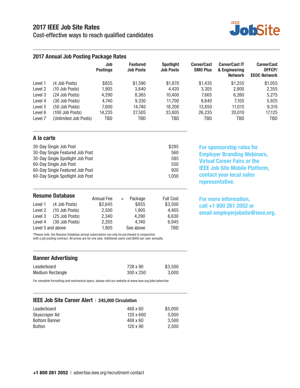# **2017 IEEE Job Site Rates**

Cost-effective ways to reach qualified candidates



|                    | 2017 Annual Job Posting Package Rates |                        |                                     |                                      |                                      |                                                         |                                                    |
|--------------------|---------------------------------------|------------------------|-------------------------------------|--------------------------------------|--------------------------------------|---------------------------------------------------------|----------------------------------------------------|
|                    |                                       | Job<br><b>Postings</b> | <b>Featured</b><br><b>Job Posts</b> | <b>Spotlight</b><br><b>Job Posts</b> | <b>CareerCast</b><br><b>SMO Plus</b> | <b>CareerCast IT</b><br>& Engineering<br><b>Network</b> | <b>CareerCast</b><br>OFFCP/<br><b>EEOC Network</b> |
| Level 1            | (4 Job Posts)                         | \$855                  | \$1.590                             | \$1,870                              | \$1.435                              | \$1.255                                                 | \$1,055                                            |
| Level 2            | (10 Job Posts)                        | 1.905                  | 3.640                               | 4.420                                | 3.305                                | 2.800                                                   | 2,355                                              |
| Level 3            | (24 Job Posts)                        | 4.290                  | 8.365                               | 10.400                               | 7.665                                | 6.260                                                   | 5.275                                              |
| Level 4            | (30 Job Posts)                        | 4.740                  | 9.330                               | 11.700                               | 8.640                                | 7.105                                                   | 5,925                                              |
| Level 5            | (50 Job Posts)                        | 7.600                  | 14.740                              | 18.200                               | 13.850                               | 11.015                                                  | 9.310                                              |
| Level 6            | (100 Job Posts)                       | 14,235                 | 27,505                              | 33,805                               | 26,235                               | 20,010                                                  | 17,125                                             |
| Level <sub>7</sub> | (Unlimited Job Posts)                 | TBD                    | TBD                                 | TBD                                  | TBD                                  | TBD                                                     | TBD                                                |

#### **A la carte**

**Resume Database**

| 30-Day Single Job Post           | \$295 |
|----------------------------------|-------|
| 30-Day Single Featured Job Post  | 560   |
| 30-Day Single Spotlight Job Post | 585   |
| 60-Day Single Job Post           | 550   |
| 60-Day Single Featured Job Post  | 920   |
| 60-Day Single Spotlight Job Post | 1.050 |

Level 1 (4 Job Posts) \$2,645 \$855 \$3,500 Level 2 (10 Job Posts) 2,500 1,905 4,405 Level 3 (25 Job Posts) 2,340 4,290 6,630 Level 4 (30 Job Posts) 2,205 4,740 6,945 Level 5 and above 1,905 See above TBD

Annual Fee + Package Full Cost

**For sponsorship rates for Employer Branding Webinars, Virtual Career Fairs or the IEEE Job Site Mobile Platform, contact your local sales representative.**

**For more information, call +1 800 261 2052 or email employerjobsite@ieee.org.**

\*Please note, the Resume Database annual subscription can only be purchased in conjunction with a job posting contract. All prices are for one year. Additional users cost \$600 per user annually.

Leaderboard **728 x 90** \$3.500 Medium Rectangle 300 x 250 3,000 **Banner Advertising** 

For complete formatting and mechanical specs, please visit our website at www.ieee.org/jobs/advertise

#### **IEEE Job Site Career Alert** | **245,000 Circulation**

| Leaderboard          | 468 x 60         | \$5,000 |
|----------------------|------------------|---------|
| Skyscraper Ad        | $120 \times 600$ | 5.000   |
| <b>Bottom Banner</b> | 468 x 60         | 3.500   |
| <b>Button</b>        | $120 \times 90$  | 2.500   |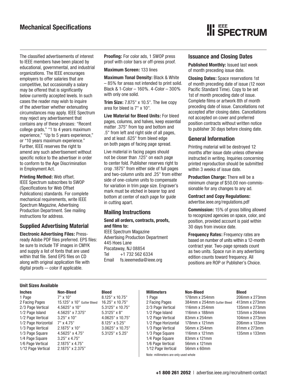**III** SPECTRUM

The classified advertisements of interest to IEEE members have been placed by educational, governmental, and industrial organizations. The IEEE encourages employers to offer salaries that are competitive, but occasionally a salary may be offered that is significantly below currently accepted levels. In such cases the reader may wish to inquire of the advertiser whether extenuating circumstances may apply. IEEE Spectrum may reject any advertisement that contains any of these phrases: "Recent college grads," "1 to 4 years maximum experience," "Up to 5 years experience," or "10 years maximum experience." Further, IEEE reserves the right to amend any such advertisement without specific notice to the advertiser in order to conform to the Age Discrimination in Employment Act.

**Printing Method:** Web offset. IEEE Spectrum subscribes to SWOP (Specifications for Web Offset Publications) standards. For complete mechanical requirements, write IEEE Spectrum Magazine, Advertising Production Department. See mailing instructions for address.

## **Supplied Advertising Material**

**Electronic Advertising Files:** Pressready Adobe PDF files preferred. EPS files: be sure to include TIF images in CMYK and supply a list of fonts that are used within that file. Send EPS files on CD along with original application file with digital proofs — color if applicable.

**Proofing:** For color ads, 1 SWOP press proof with color bars or off-press proof.

**Maximum Screen:** 133 lines

**Maximum Tonal Density:** Black & White – 85% for areas not intended to print solid. Black & 1-Color – 160%. 4-Color – 300% with only one solid.

**Trim Size:** 7.875" x 10.5". The live copy area for bleed is 7" x 10".

**Live Material for Bleed Units:** For bleed pages, columns, and halves, keep essential matter .375" from top and bottom and .5" from left and right side of all pages, and at least .625" from bleed edge on both pages of facing page spread.

Live material in facing pages should not be closer than .125" on each page to center fold. Publisher reserves right to crop .1875" from either side of full pages and two-column units and .25" from either side of one-column units to compensate for variation in trim page size. Engraver's mark must be etched in bearer top and bottom at center of each page for guide in cutting apart.

## **Mailing Instructions**

#### **Send all orders, contracts, proofs, and films to:**

IEEE Spectrum Magazine Advertising Production Department 445 Hoes Lane Piscataway, NJ 08854 Tel +1 732 562 6334 Email fs.ieeemedia@ieee.org

#### **Issuance and Closing Dates**

**Published Monthly:** Issued last week of month preceding issue date.

**Closing Dates:** Space reservations 1st of month preceding date of issue (12 noon Pacific Standard Time). Copy to be set 1st of month preceding date of issue. Complete films or artwork 8th of month preceding date of issue. Cancellations not accepted after closing dates. Cancellations not accepted on cover and preferred position contracts without written notice to publisher 30 days before closing date.

#### **General Information**

Printing material will be destroyed 12 months after issue date unless otherwise instructed in writing. Inquiries concerning printed reproduction should be submitted within 3 weeks of issue date.

**Production Charge:** There will be a minimum charge of \$50.00 non-commissionable for any changes to any ad.

**Contract and Copy Regulations:**  [advertise.ieee.org/regulations.pdf](http://advertise.ieee.org/wp-content/uploads/IEEE-Media-Contract-and-Copy-Regulations.pdf)

**Commission:** 15% of gross billing allowed to recognized agencies on space, color, and position, provided account is paid within 30 days from invoice date.

**Frequency Rates:** Frequency rates are based on number of units within a 12-month contract year. Two-page spreads count as two units. Space run in any advertising edition counts toward frequency. All positions are ROP or Publisher's Choice.

#### **Unit Sizes Available**

| <u>UIIIL UILUU AVUIIUUIU</u> |                            |                       |                     |                            |               |  |  |
|------------------------------|----------------------------|-----------------------|---------------------|----------------------------|---------------|--|--|
| <b>Inches</b>                | Non-Bleed                  | <b>Bleed</b>          | <b>Millimeters</b>  | Non-Bleed                  | <b>Bleed</b>  |  |  |
| 1 Page                       | $7" \times 10"$            | 8.125" x 10.75"       | 1 Page              | 178mm x 254mm              | 206mm x 273mm |  |  |
| 2 Facing Pages               | 15.125" x 10" Gutter Bleed | 16.25" x 10.75"       | 2 Facing Pages      | 384mm x 254mm Gutter Bleed | 413mm x 273mm |  |  |
| 2/3 Page Vertical            | $4.5625"$ x 10"            | $5.3125$ " x 10.75"   | 2/3 Page Vertical   | 116 $mm \times 254$ $mm$   | 135mm x 273mm |  |  |
| 1/2 Page Island              | 4.5625" x 7.375"           | $5.3125$ " x 8"       | 1/2 Page Island     | 116mm x 188mm              | 135mm x 204mm |  |  |
| 1/2 Page Vertical            | $3.25" \times 10"$         | 4.0625" x 10.75"      | 1/2 Page Vertical   | 83mm x 254mm               | 104mm x 273mm |  |  |
| 1/2 Page Horizontal          | $7"$ x 4.75"               | 8.125" x 5.25"        | 1/2 Page Horizontal | 178mm x 121mm              | 206mm x 133mm |  |  |
| 1/3 Page Vertical            | 2.1875" x 10"              | $3.0625$ " x 10.75"   | 1/3 Page Vertical   | 56mm x 254mm               | 81mm x 273mm  |  |  |
| 1/3 Page Square              | 4.5625" x 4.75"            | $5.3125$ " x $5.25$ " | 1/3 Page Square     | 116 $mm \times 121$ $mm$   | 135mm x 133mm |  |  |
| 1/4 Page Square              | $3.25" \times 4.75"$       |                       | 1/4 Page Square     | 83mm x 121mm               |               |  |  |
| 1/6 Page Vertical            | 2.1875" x 4.75"            |                       | 1/6 Page Vertical   | 56mm x 121mm               |               |  |  |
| 1/12 Page Vertical           | 2.1875" x 2.375"           |                       | 1/12 Page Vertical  | 56mm x 60mm                |               |  |  |

Note: millimeters are only used whole